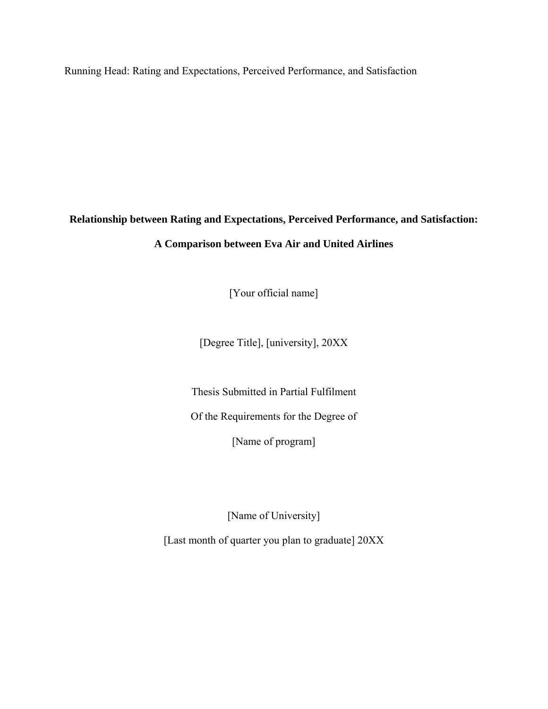Running Head: Rating and Expectations, Perceived Performance, and Satisfaction

## **Relationship between Rating and Expectations, Perceived Performance, and Satisfaction:**

## **A Comparison between Eva Air and United Airlines**

[Your official name]

[Degree Title], [university], 20XX

Thesis Submitted in Partial Fulfilment

Of the Requirements for the Degree of

[Name of program]

[Name of University]

[Last month of quarter you plan to graduate] 20XX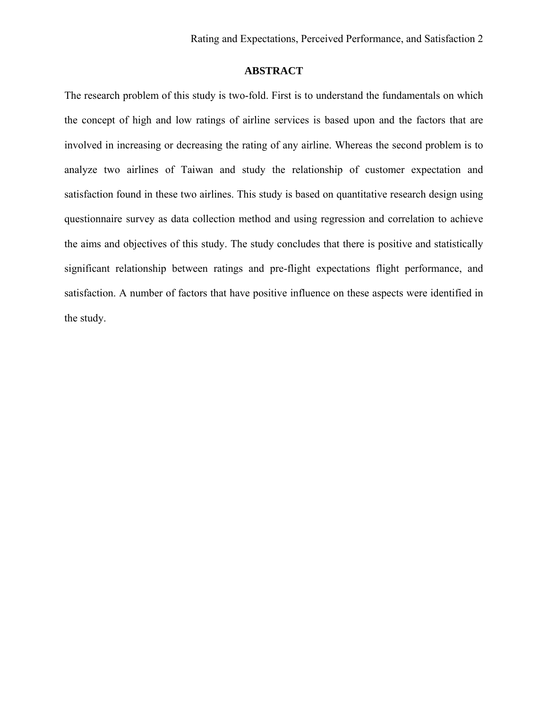## **ABSTRACT**

The research problem of this study is two-fold. First is to understand the fundamentals on which the concept of high and low ratings of airline services is based upon and the factors that are involved in increasing or decreasing the rating of any airline. Whereas the second problem is to analyze two airlines of Taiwan and study the relationship of customer expectation and satisfaction found in these two airlines. This study is based on quantitative research design using questionnaire survey as data collection method and using regression and correlation to achieve the aims and objectives of this study. The study concludes that there is positive and statistically significant relationship between ratings and pre-flight expectations flight performance, and satisfaction. A number of factors that have positive influence on these aspects were identified in the study.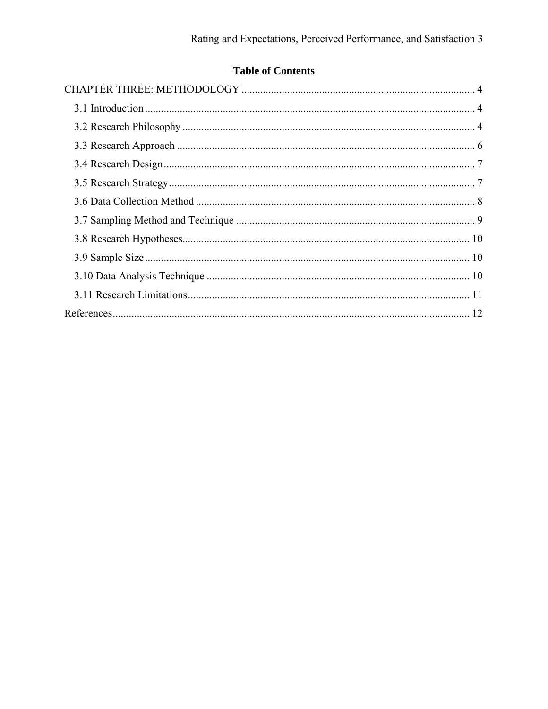# **Table of Contents**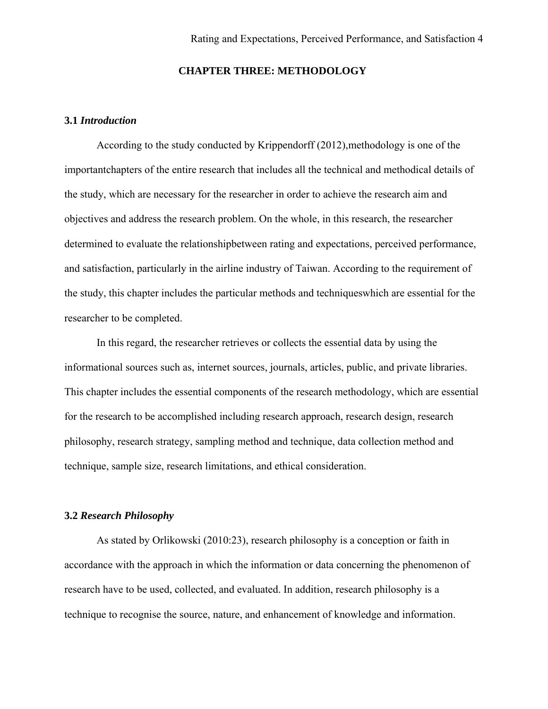## **CHAPTER THREE: METHODOLOGY**

#### <span id="page-3-1"></span><span id="page-3-0"></span>**3.1** *Introduction*

According to the study conducted by Krippendorff (2012),methodology is one of the importantchapters of the entire research that includes all the technical and methodical details of the study, which are necessary for the researcher in order to achieve the research aim and objectives and address the research problem. On the whole, in this research, the researcher determined to evaluate the relationshipbetween rating and expectations, perceived performance, and satisfaction, particularly in the airline industry of Taiwan. According to the requirement of the study, this chapter includes the particular methods and techniqueswhich are essential for the researcher to be completed.

In this regard, the researcher retrieves or collects the essential data by using the informational sources such as, internet sources, journals, articles, public, and private libraries. This chapter includes the essential components of the research methodology, which are essential for the research to be accomplished including research approach, research design, research philosophy, research strategy, sampling method and technique, data collection method and technique, sample size, research limitations, and ethical consideration.

#### <span id="page-3-2"></span>**3.2** *Research Philosophy*

As stated by Orlikowski (2010:23), research philosophy is a conception or faith in accordance with the approach in which the information or data concerning the phenomenon of research have to be used, collected, and evaluated. In addition, research philosophy is a technique to recognise the source, nature, and enhancement of knowledge and information.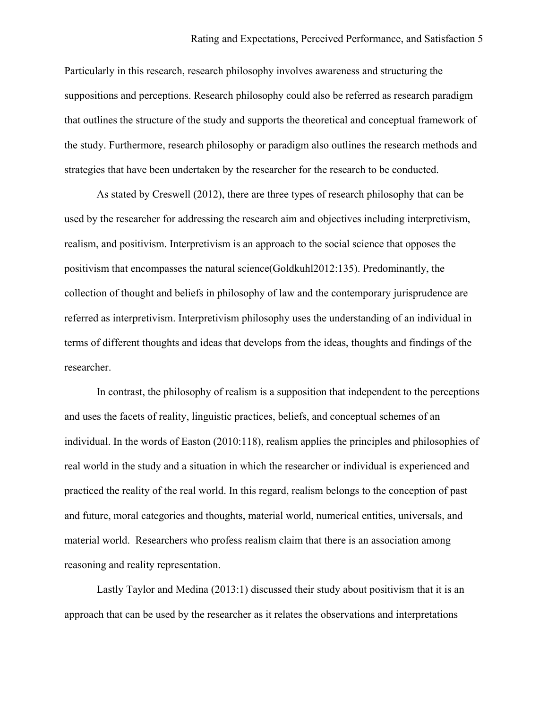Particularly in this research, research philosophy involves awareness and structuring the suppositions and perceptions. Research philosophy could also be referred as research paradigm that outlines the structure of the study and supports the theoretical and conceptual framework of the study. Furthermore, research philosophy or paradigm also outlines the research methods and strategies that have been undertaken by the researcher for the research to be conducted.

As stated by Creswell (2012), there are three types of research philosophy that can be used by the researcher for addressing the research aim and objectives including interpretivism, realism, and positivism. Interpretivism is an approach to the social science that opposes the positivism that encompasses the natural science(Goldkuhl2012:135). Predominantly, the collection of thought and beliefs in philosophy of law and the contemporary jurisprudence are referred as interpretivism. Interpretivism philosophy uses the understanding of an individual in terms of different thoughts and ideas that develops from the ideas, thoughts and findings of the researcher.

In contrast, the philosophy of realism is a supposition that independent to the perceptions and uses the facets of reality, linguistic practices, beliefs, and conceptual schemes of an individual. In the words of Easton (2010:118), realism applies the principles and philosophies of real world in the study and a situation in which the researcher or individual is experienced and practiced the reality of the real world. In this regard, realism belongs to the conception of past and future, moral categories and thoughts, material world, numerical entities, universals, and material world. Researchers who profess realism claim that there is an association among reasoning and reality representation.

Lastly Taylor and Medina (2013:1) discussed their study about positivism that it is an approach that can be used by the researcher as it relates the observations and interpretations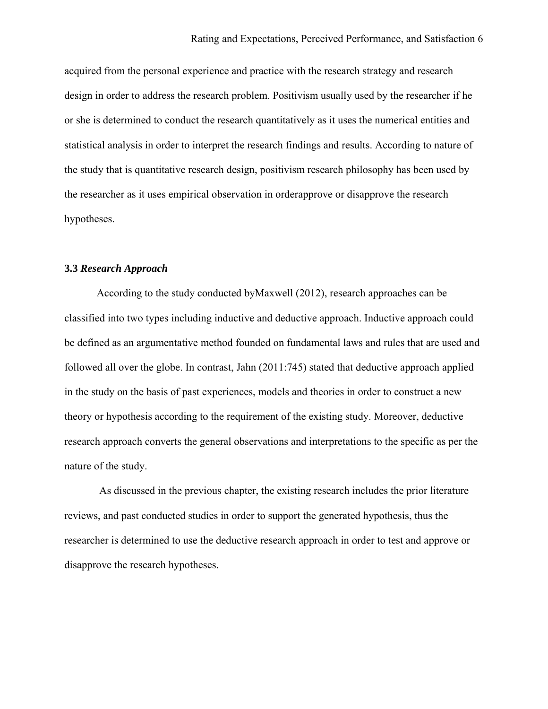acquired from the personal experience and practice with the research strategy and research design in order to address the research problem. Positivism usually used by the researcher if he or she is determined to conduct the research quantitatively as it uses the numerical entities and statistical analysis in order to interpret the research findings and results. According to nature of the study that is quantitative research design, positivism research philosophy has been used by the researcher as it uses empirical observation in orderapprove or disapprove the research hypotheses.

#### <span id="page-5-0"></span>**3.3** *Research Approach*

According to the study conducted byMaxwell (2012), research approaches can be classified into two types including inductive and deductive approach. Inductive approach could be defined as an argumentative method founded on fundamental laws and rules that are used and followed all over the globe. In contrast, Jahn (2011:745) stated that deductive approach applied in the study on the basis of past experiences, models and theories in order to construct a new theory or hypothesis according to the requirement of the existing study. Moreover, deductive research approach converts the general observations and interpretations to the specific as per the nature of the study.

As discussed in the previous chapter, the existing research includes the prior literature reviews, and past conducted studies in order to support the generated hypothesis, thus the researcher is determined to use the deductive research approach in order to test and approve or disapprove the research hypotheses.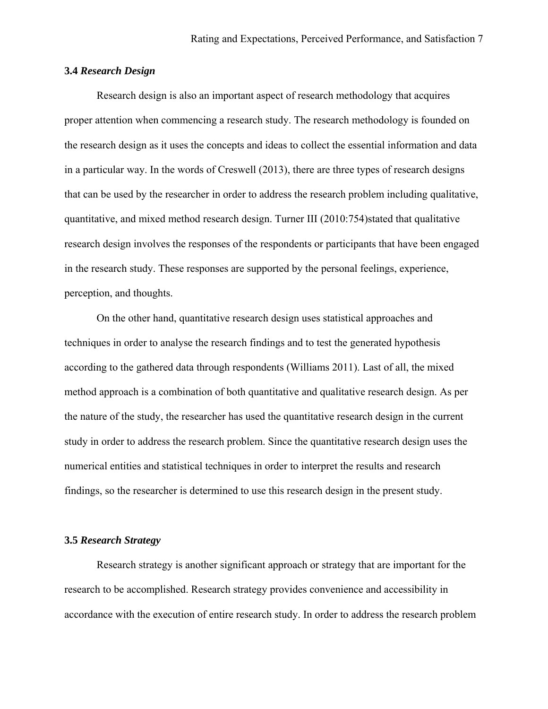#### <span id="page-6-0"></span>**3.4** *Research Design*

Research design is also an important aspect of research methodology that acquires proper attention when commencing a research study. The research methodology is founded on the research design as it uses the concepts and ideas to collect the essential information and data in a particular way. In the words of Creswell (2013), there are three types of research designs that can be used by the researcher in order to address the research problem including qualitative, quantitative, and mixed method research design. Turner III (2010:754)stated that qualitative research design involves the responses of the respondents or participants that have been engaged in the research study. These responses are supported by the personal feelings, experience, perception, and thoughts.

 On the other hand, quantitative research design uses statistical approaches and techniques in order to analyse the research findings and to test the generated hypothesis according to the gathered data through respondents (Williams 2011). Last of all, the mixed method approach is a combination of both quantitative and qualitative research design. As per the nature of the study, the researcher has used the quantitative research design in the current study in order to address the research problem. Since the quantitative research design uses the numerical entities and statistical techniques in order to interpret the results and research findings, so the researcher is determined to use this research design in the present study.

#### <span id="page-6-1"></span>**3.5** *Research Strategy*

Research strategy is another significant approach or strategy that are important for the research to be accomplished. Research strategy provides convenience and accessibility in accordance with the execution of entire research study. In order to address the research problem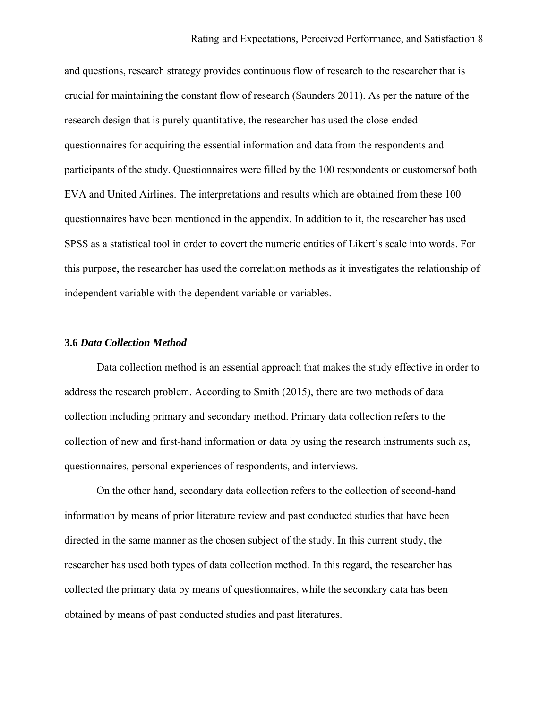and questions, research strategy provides continuous flow of research to the researcher that is crucial for maintaining the constant flow of research (Saunders 2011). As per the nature of the research design that is purely quantitative, the researcher has used the close-ended questionnaires for acquiring the essential information and data from the respondents and participants of the study. Questionnaires were filled by the 100 respondents or customersof both EVA and United Airlines. The interpretations and results which are obtained from these 100 questionnaires have been mentioned in the appendix. In addition to it, the researcher has used SPSS as a statistical tool in order to covert the numeric entities of Likert's scale into words. For this purpose, the researcher has used the correlation methods as it investigates the relationship of independent variable with the dependent variable or variables.

#### <span id="page-7-0"></span>**3.6** *Data Collection Method*

Data collection method is an essential approach that makes the study effective in order to address the research problem. According to Smith (2015), there are two methods of data collection including primary and secondary method. Primary data collection refers to the collection of new and first-hand information or data by using the research instruments such as, questionnaires, personal experiences of respondents, and interviews.

 On the other hand, secondary data collection refers to the collection of second-hand information by means of prior literature review and past conducted studies that have been directed in the same manner as the chosen subject of the study. In this current study, the researcher has used both types of data collection method. In this regard, the researcher has collected the primary data by means of questionnaires, while the secondary data has been obtained by means of past conducted studies and past literatures.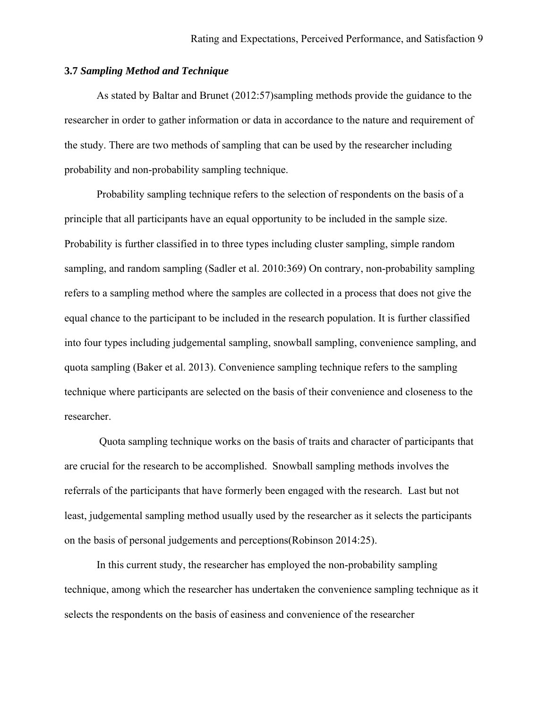#### <span id="page-8-0"></span>**3.7** *Sampling Method and Technique*

As stated by Baltar and Brunet (2012:57)sampling methods provide the guidance to the researcher in order to gather information or data in accordance to the nature and requirement of the study. There are two methods of sampling that can be used by the researcher including probability and non-probability sampling technique.

Probability sampling technique refers to the selection of respondents on the basis of a principle that all participants have an equal opportunity to be included in the sample size. Probability is further classified in to three types including cluster sampling, simple random sampling, and random sampling (Sadler et al. 2010:369) On contrary, non-probability sampling refers to a sampling method where the samples are collected in a process that does not give the equal chance to the participant to be included in the research population. It is further classified into four types including judgemental sampling, snowball sampling, convenience sampling, and quota sampling (Baker et al. 2013). Convenience sampling technique refers to the sampling technique where participants are selected on the basis of their convenience and closeness to the researcher.

Quota sampling technique works on the basis of traits and character of participants that are crucial for the research to be accomplished. Snowball sampling methods involves the referrals of the participants that have formerly been engaged with the research. Last but not least, judgemental sampling method usually used by the researcher as it selects the participants on the basis of personal judgements and perceptions(Robinson 2014:25).

In this current study, the researcher has employed the non-probability sampling technique, among which the researcher has undertaken the convenience sampling technique as it selects the respondents on the basis of easiness and convenience of the researcher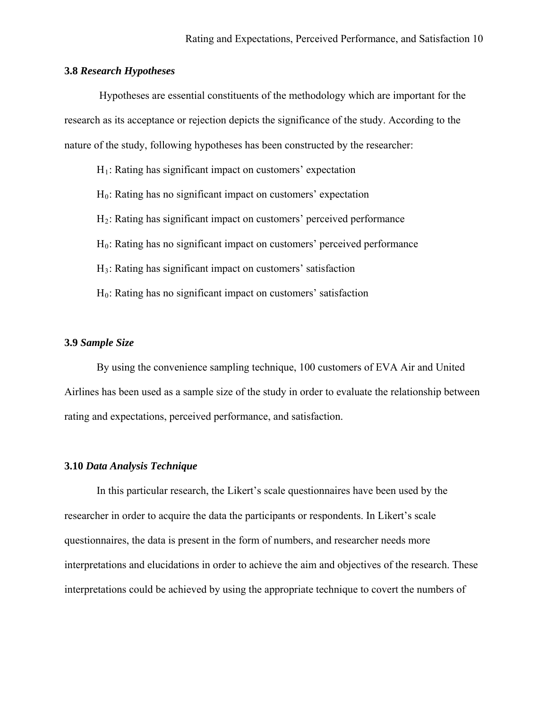#### <span id="page-9-0"></span>**3.8** *Research Hypotheses*

 Hypotheses are essential constituents of the methodology which are important for the research as its acceptance or rejection depicts the significance of the study. According to the nature of the study, following hypotheses has been constructed by the researcher:

- $H_1$ : Rating has significant impact on customers' expectation
- $H<sub>0</sub>$ : Rating has no significant impact on customers' expectation
- H2: Rating has significant impact on customers' perceived performance
- $H<sub>0</sub>$ : Rating has no significant impact on customers' perceived performance
- H3: Rating has significant impact on customers' satisfaction
- $H<sub>0</sub>$ : Rating has no significant impact on customers' satisfaction

#### <span id="page-9-1"></span>**3.9** *Sample Size*

 By using the convenience sampling technique, 100 customers of EVA Air and United Airlines has been used as a sample size of the study in order to evaluate the relationship between rating and expectations, perceived performance, and satisfaction.

#### <span id="page-9-2"></span>**3.10** *Data Analysis Technique*

In this particular research, the Likert's scale questionnaires have been used by the researcher in order to acquire the data the participants or respondents. In Likert's scale questionnaires, the data is present in the form of numbers, and researcher needs more interpretations and elucidations in order to achieve the aim and objectives of the research. These interpretations could be achieved by using the appropriate technique to covert the numbers of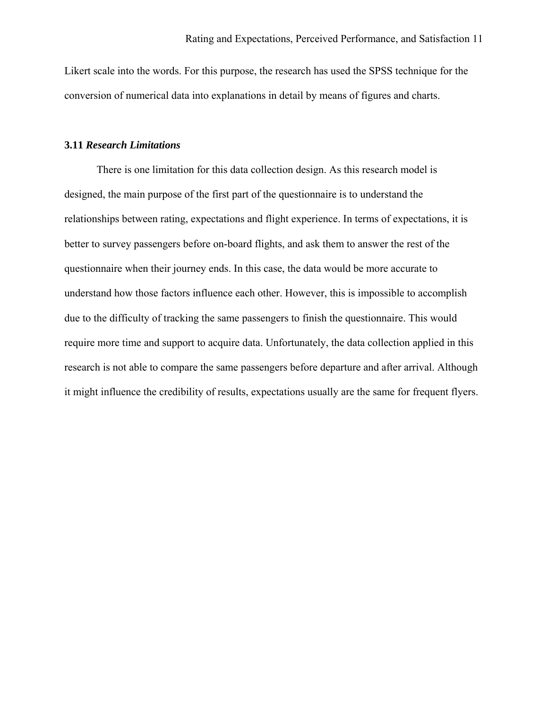Likert scale into the words. For this purpose, the research has used the SPSS technique for the conversion of numerical data into explanations in detail by means of figures and charts.

## <span id="page-10-0"></span>**3.11** *Research Limitations*

There is one limitation for this data collection design. As this research model is designed, the main purpose of the first part of the questionnaire is to understand the relationships between rating, expectations and flight experience. In terms of expectations, it is better to survey passengers before on-board flights, and ask them to answer the rest of the questionnaire when their journey ends. In this case, the data would be more accurate to understand how those factors influence each other. However, this is impossible to accomplish due to the difficulty of tracking the same passengers to finish the questionnaire. This would require more time and support to acquire data. Unfortunately, the data collection applied in this research is not able to compare the same passengers before departure and after arrival. Although it might influence the credibility of results, expectations usually are the same for frequent flyers.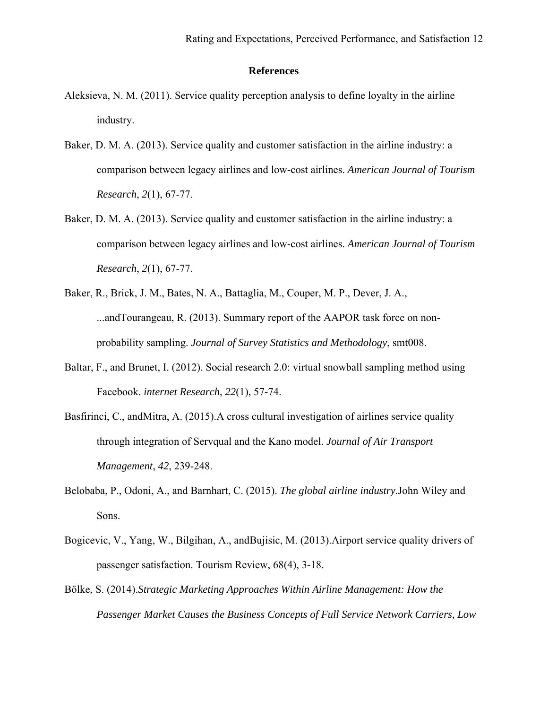## **References**

- <span id="page-11-0"></span>Aleksieva, N. M. (2011). Service quality perception analysis to define loyalty in the airline industry.
- Baker, D. M. A. (2013). Service quality and customer satisfaction in the airline industry: a comparison between legacy airlines and low-cost airlines. *American Journal of Tourism Research*, *2*(1), 67-77.
- Baker, D. M. A. (2013). Service quality and customer satisfaction in the airline industry: a comparison between legacy airlines and low-cost airlines. *American Journal of Tourism Research*, *2*(1), 67-77.
- Baker, R., Brick, J. M., Bates, N. A., Battaglia, M., Couper, M. P., Dever, J. A., ...andTourangeau, R. (2013). Summary report of the AAPOR task force on nonprobability sampling. *Journal of Survey Statistics and Methodology*, smt008.
- Baltar, F., and Brunet, I. (2012). Social research 2.0: virtual snowball sampling method using Facebook. *internet Research*, *22*(1), 57-74.
- Basfirinci, C., andMitra, A. (2015).A cross cultural investigation of airlines service quality through integration of Servqual and the Kano model. *Journal of Air Transport Management*, *42*, 239-248.
- Belobaba, P., Odoni, A., and Barnhart, C. (2015). *The global airline industry*.John Wiley and Sons.
- Bogicevic, V., Yang, W., Bilgihan, A., andBujisic, M. (2013).Airport service quality drivers of passenger satisfaction. Tourism Review, 68(4), 3-18.
- Bölke, S. (2014).*Strategic Marketing Approaches Within Airline Management: How the Passenger Market Causes the Business Concepts of Full Service Network Carriers, Low*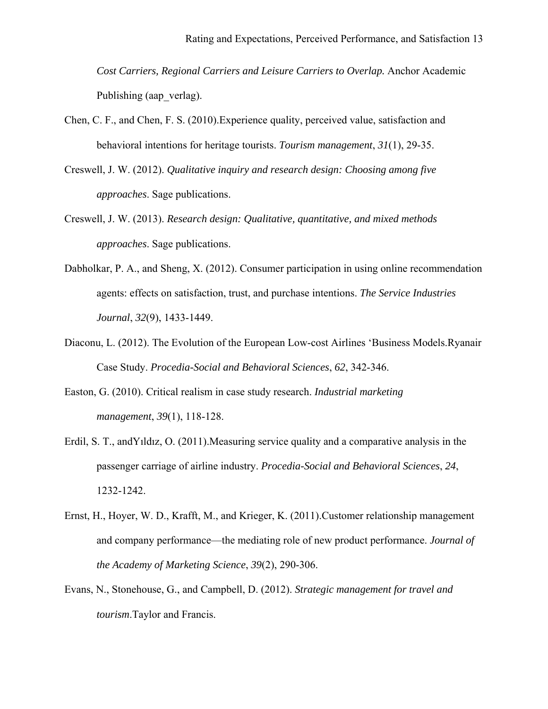*Cost Carriers, Regional Carriers and Leisure Carriers to Overlap.* Anchor Academic Publishing (aap\_verlag).

- Chen, C. F., and Chen, F. S. (2010).Experience quality, perceived value, satisfaction and behavioral intentions for heritage tourists. *Tourism management*, *31*(1), 29-35.
- Creswell, J. W. (2012). *Qualitative inquiry and research design: Choosing among five approaches*. Sage publications.
- Creswell, J. W. (2013). *Research design: Qualitative, quantitative, and mixed methods approaches*. Sage publications.
- Dabholkar, P. A., and Sheng, X. (2012). Consumer participation in using online recommendation agents: effects on satisfaction, trust, and purchase intentions. *The Service Industries Journal*, *32*(9), 1433-1449.
- Diaconu, L. (2012). The Evolution of the European Low-cost Airlines 'Business Models.Ryanair Case Study. *Procedia-Social and Behavioral Sciences*, *62*, 342-346.
- Easton, G. (2010). Critical realism in case study research. *Industrial marketing management*, *39*(1), 118-128.
- Erdil, S. T., andYıldız, O. (2011).Measuring service quality and a comparative analysis in the passenger carriage of airline industry. *Procedia-Social and Behavioral Sciences*, *24*, 1232-1242.
- Ernst, H., Hoyer, W. D., Krafft, M., and Krieger, K. (2011).Customer relationship management and company performance—the mediating role of new product performance. *Journal of the Academy of Marketing Science*, *39*(2), 290-306.
- Evans, N., Stonehouse, G., and Campbell, D. (2012). *Strategic management for travel and tourism*.Taylor and Francis.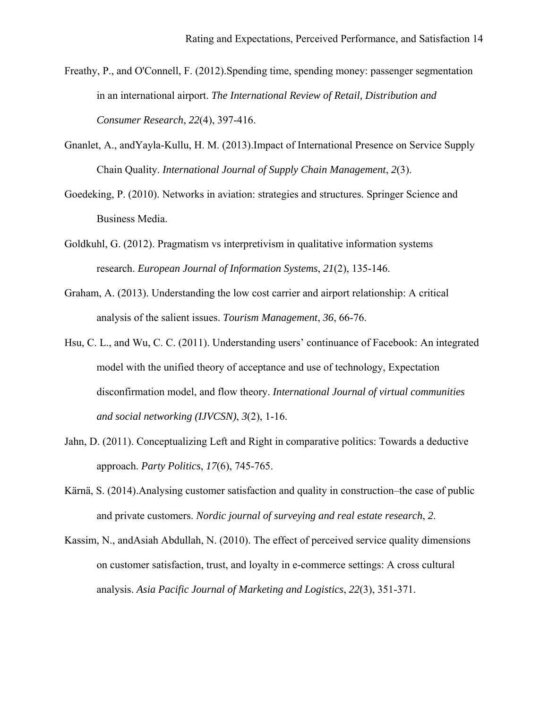- Freathy, P., and O'Connell, F. (2012).Spending time, spending money: passenger segmentation in an international airport. *The International Review of Retail, Distribution and Consumer Research*, *22*(4), 397-416.
- Gnanlet, A., andYayla-Kullu, H. M. (2013).Impact of International Presence on Service Supply Chain Quality. *International Journal of Supply Chain Management*, *2*(3).
- Goedeking, P. (2010). Networks in aviation: strategies and structures. Springer Science and Business Media.
- Goldkuhl, G. (2012). Pragmatism vs interpretivism in qualitative information systems research. *European Journal of Information Systems*, *21*(2), 135-146.
- Graham, A. (2013). Understanding the low cost carrier and airport relationship: A critical analysis of the salient issues. *Tourism Management*, *36*, 66-76.
- Hsu, C. L., and Wu, C. C. (2011). Understanding users' continuance of Facebook: An integrated model with the unified theory of acceptance and use of technology, Expectation disconfirmation model, and flow theory. *International Journal of virtual communities and social networking (IJVCSN)*, *3*(2), 1-16.
- Jahn, D. (2011). Conceptualizing Left and Right in comparative politics: Towards a deductive approach. *Party Politics*, *17*(6), 745-765.
- Kärnä, S. (2014).Analysing customer satisfaction and quality in construction–the case of public and private customers. *Nordic journal of surveying and real estate research*, *2*.
- Kassim, N., andAsiah Abdullah, N. (2010). The effect of perceived service quality dimensions on customer satisfaction, trust, and loyalty in e-commerce settings: A cross cultural analysis. *Asia Pacific Journal of Marketing and Logistics*, *22*(3), 351-371.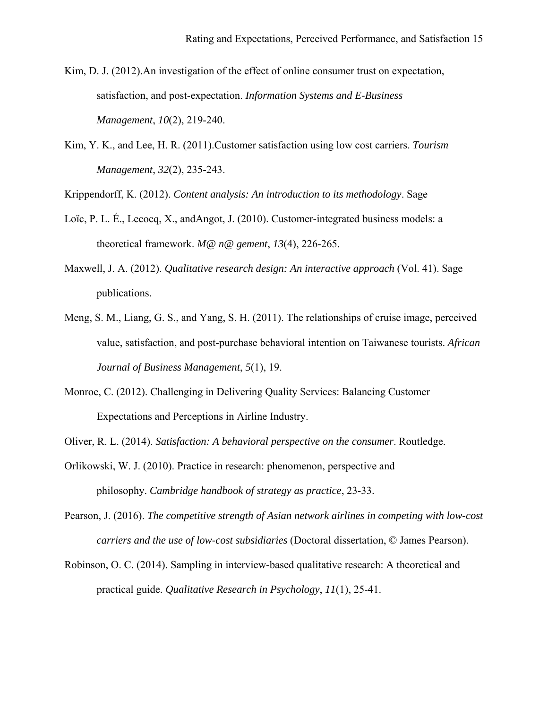- Kim, D. J. (2012).An investigation of the effect of online consumer trust on expectation, satisfaction, and post-expectation. *Information Systems and E-Business Management*, *10*(2), 219-240.
- Kim, Y. K., and Lee, H. R. (2011).Customer satisfaction using low cost carriers. *Tourism Management*, *32*(2), 235-243.

Krippendorff, K. (2012). *Content analysis: An introduction to its methodology*. Sage

- Loïc, P. L. É., Lecocq, X., andAngot, J. (2010). Customer-integrated business models: a theoretical framework. *M@ n@ gement*, *13*(4), 226-265.
- Maxwell, J. A. (2012). *Qualitative research design: An interactive approach* (Vol. 41). Sage publications.
- Meng, S. M., Liang, G. S., and Yang, S. H. (2011). The relationships of cruise image, perceived value, satisfaction, and post-purchase behavioral intention on Taiwanese tourists. *African Journal of Business Management*, *5*(1), 19.
- Monroe, C. (2012). Challenging in Delivering Quality Services: Balancing Customer Expectations and Perceptions in Airline Industry.
- Oliver, R. L. (2014). *Satisfaction: A behavioral perspective on the consumer*. Routledge.
- Orlikowski, W. J. (2010). Practice in research: phenomenon, perspective and philosophy. *Cambridge handbook of strategy as practice*, 23-33.
- Pearson, J. (2016). *The competitive strength of Asian network airlines in competing with low-cost carriers and the use of low-cost subsidiaries* (Doctoral dissertation, © James Pearson).
- Robinson, O. C. (2014). Sampling in interview-based qualitative research: A theoretical and practical guide. *Qualitative Research in Psychology*, *11*(1), 25-41.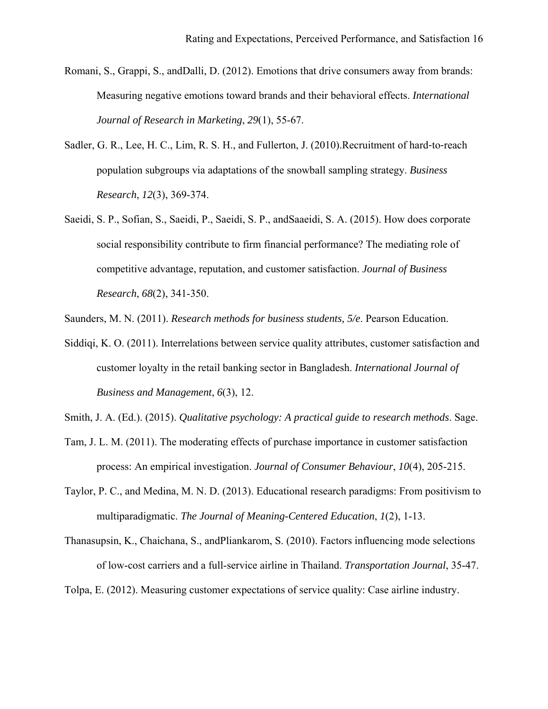- Romani, S., Grappi, S., andDalli, D. (2012). Emotions that drive consumers away from brands: Measuring negative emotions toward brands and their behavioral effects. *International Journal of Research in Marketing*, *29*(1), 55-67.
- Sadler, G. R., Lee, H. C., Lim, R. S. H., and Fullerton, J. (2010). Recruitment of hard-to-reach population subgroups via adaptations of the snowball sampling strategy. *Business Research*, *12*(3), 369-374.
- Saeidi, S. P., Sofian, S., Saeidi, P., Saeidi, S. P., andSaaeidi, S. A. (2015). How does corporate social responsibility contribute to firm financial performance? The mediating role of competitive advantage, reputation, and customer satisfaction. *Journal of Business Research*, *68*(2), 341-350.

Saunders, M. N. (2011). *Research methods for business students, 5/e*. Pearson Education.

Siddiqi, K. O. (2011). Interrelations between service quality attributes, customer satisfaction and customer loyalty in the retail banking sector in Bangladesh. *International Journal of Business and Management*, *6*(3), 12.

Smith, J. A. (Ed.). (2015). *Qualitative psychology: A practical guide to research methods*. Sage.

- Tam, J. L. M. (2011). The moderating effects of purchase importance in customer satisfaction process: An empirical investigation. *Journal of Consumer Behaviour*, *10*(4), 205-215.
- Taylor, P. C., and Medina, M. N. D. (2013). Educational research paradigms: From positivism to multiparadigmatic. *The Journal of Meaning-Centered Education*, *1*(2), 1-13.
- Thanasupsin, K., Chaichana, S., andPliankarom, S. (2010). Factors influencing mode selections of low-cost carriers and a full-service airline in Thailand. *Transportation Journal*, 35-47.

Tolpa, E. (2012). Measuring customer expectations of service quality: Case airline industry.